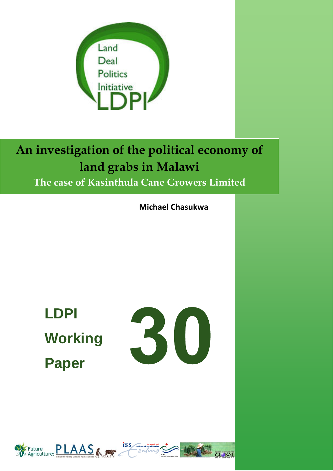

# **An investigation of the political economy of land grabs in Malawi The case of Kasinthula Cane Growers Limited**

**Michael Chasukwa**

**LDPI Working Paper** 





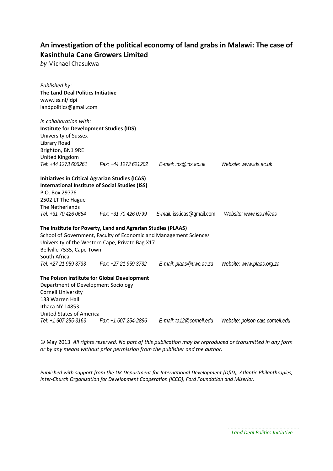### **An investigation of the political economy of land grabs in Malawi: The case of Kasinthula Cane Growers Limited**

*by* Michael Chasukwa

| Published by:<br><b>The Land Deal Politics Initiative</b><br>www.iss.nl/ldpi<br>landpolitics@gmail.com                                                                                             |                                                              |                                                                   |                                  |
|----------------------------------------------------------------------------------------------------------------------------------------------------------------------------------------------------|--------------------------------------------------------------|-------------------------------------------------------------------|----------------------------------|
| in collaboration with:                                                                                                                                                                             |                                                              |                                                                   |                                  |
| <b>Institute for Development Studies (IDS)</b>                                                                                                                                                     |                                                              |                                                                   |                                  |
| University of Sussex                                                                                                                                                                               |                                                              |                                                                   |                                  |
| Library Road                                                                                                                                                                                       |                                                              |                                                                   |                                  |
| Brighton, BN1 9RE                                                                                                                                                                                  |                                                              |                                                                   |                                  |
| United Kingdom                                                                                                                                                                                     |                                                              |                                                                   |                                  |
| Tel: +44 1273 606261                                                                                                                                                                               |                                                              |                                                                   | Website: www.ids.ac.uk           |
| <b>Initiatives in Critical Agrarian Studies (ICAS)</b><br><b>International Institute of Social Studies (ISS)</b><br>P.O. Box 29776<br>2502 LT The Hague<br>The Netherlands<br>Tel: +31 70 426 0664 | Fax: +31 70 426 0799                                         | E-mail: iss.icas@gmail.com                                        | Website: www.iss.nl/icas         |
|                                                                                                                                                                                                    | The Institute for Poverty, Land and Agrarian Studies (PLAAS) | School of Government, Faculty of Economic and Management Sciences |                                  |
|                                                                                                                                                                                                    | University of the Western Cape, Private Bag X17              |                                                                   |                                  |
| Bellville 7535, Cape Town                                                                                                                                                                          |                                                              |                                                                   |                                  |
| South Africa<br>Tel: +27 21 959 3733                                                                                                                                                               | Fax: +27 21 959 3732                                         | E-mail: plaas@uwc.ac.za                                           | Website: www.plaas.org.za        |
| The Polson Institute for Global Development<br>Department of Development Sociology<br><b>Cornell University</b><br>133 Warren Hall<br>Ithaca NY 14853<br><b>United States of America</b>           |                                                              |                                                                   |                                  |
| Tel: +1 607 255-3163                                                                                                                                                                               |                                                              | Fax: +1 607 254-2896    E-mail: ta12@cornell.edu                  | Website: polson.cals.cornell.edu |
|                                                                                                                                                                                                    |                                                              |                                                                   |                                  |

© May 2013 *All rights reserved. No part of this publication may be reproduced or transmitted in any form or by any means without prior permission from the publisher and the author.*

*Published with support from the UK Department for International Development (DfID), Atlantic Philanthropies, Inter‐Church Organization for Development Cooperation (ICCO), Ford Foundation and Miserior.*

> *Land Deal Politics Initiative*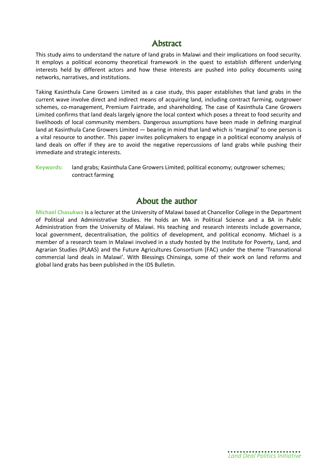### **Abstract**

This study aims to understand the nature of land grabs in Malawi and their implications on food security. It employs a political economy theoretical framework in the quest to establish different underlying interests held by different actors and how these interests are pushed into policy documents using networks, narratives, and institutions.

Taking Kasinthula Cane Growers Limited as a case study, this paper establishes that land grabs in the current wave involve direct and indirect means of acquiring land, including contract farming, outgrower schemes, co-management, Premium Fairtrade, and shareholding. The case of Kasinthula Cane Growers Limited confirms that land deals largely ignore the local context which poses a threat to food security and livelihoods of local community members. Dangerous assumptions have been made in defining marginal land at Kasinthula Cane Growers Limited — bearing in mind that land which is 'marginal' to one person is a vital resource to another. This paper invites policymakers to engage in a political economy analysis of land deals on offer if they are to avoid the negative repercussions of land grabs while pushing their immediate and strategic interests.

**Keywords:** land grabs; Kasinthula Cane Growers Limited; political economy; outgrower schemes; contract farming

### **About the author**

**Michael Chasukwa** is a lecturer at the University of Malawi based at Chancellor College in the Department of Political and Administrative Studies. He holds an MA in Political Science and a BA in Public Administration from the University of Malawi. His teaching and research interests include governance, local government, decentralisation, the politics of development, and political economy. Michael is a member of a research team in Malawi involved in a study hosted by the Institute for Poverty, Land, and Agrarian Studies (PLAAS) and the Future Agricultures Consortium (FAC) under the theme 'Transnational commercial land deals in Malawi'. With Blessings Chinsinga, some of their work on land reforms and global land grabs has been published in the IDS Bulletin.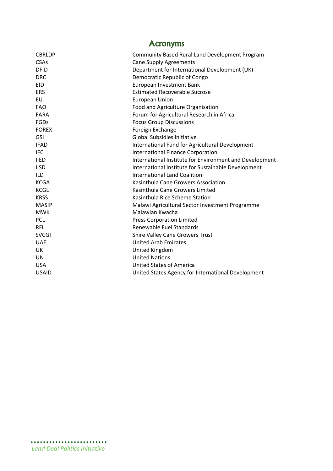| <b>Acronyms</b>                                         |  |  |  |  |
|---------------------------------------------------------|--|--|--|--|
| Community Based Rural Land Development Program          |  |  |  |  |
| <b>Cane Supply Agreements</b>                           |  |  |  |  |
| Department for International Development (UK)           |  |  |  |  |
| Democratic Republic of Congo                            |  |  |  |  |
| European Investment Bank                                |  |  |  |  |
| <b>Estimated Recoverable Sucrose</b>                    |  |  |  |  |
| <b>European Union</b>                                   |  |  |  |  |
| Food and Agriculture Organisation                       |  |  |  |  |
| Forum for Agricultural Research in Africa               |  |  |  |  |
| <b>Focus Group Discussions</b>                          |  |  |  |  |
| Foreign Exchange                                        |  |  |  |  |
| <b>Global Subsidies Initiative</b>                      |  |  |  |  |
| International Fund for Agricultural Development         |  |  |  |  |
| <b>International Finance Corporation</b>                |  |  |  |  |
| International Institute for Environment and Development |  |  |  |  |
| International Institute for Sustainable Development     |  |  |  |  |
| <b>International Land Coalition</b>                     |  |  |  |  |
| Kasinthula Cane Growers Association                     |  |  |  |  |
| Kasinthula Cane Growers Limited                         |  |  |  |  |
| Kasinthula Rice Scheme Station                          |  |  |  |  |
| Malawi Agricultural Sector Investment Programme         |  |  |  |  |
| Malawian Kwacha                                         |  |  |  |  |
| <b>Press Corporation Limited</b>                        |  |  |  |  |
| Renewable Fuel Standards                                |  |  |  |  |
| Shire Valley Cane Growers Trust                         |  |  |  |  |
| <b>United Arab Emirates</b>                             |  |  |  |  |
| <b>United Kingdom</b>                                   |  |  |  |  |
| <b>United Nations</b>                                   |  |  |  |  |
| <b>United States of America</b>                         |  |  |  |  |
| United States Agency for International Development      |  |  |  |  |
|                                                         |  |  |  |  |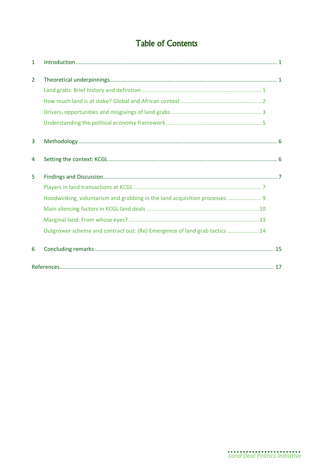# **Table of Contents**

| 1              |                                                                            |  |
|----------------|----------------------------------------------------------------------------|--|
| $\overline{2}$ |                                                                            |  |
|                |                                                                            |  |
|                |                                                                            |  |
|                |                                                                            |  |
|                |                                                                            |  |
| 3              |                                                                            |  |
| 4              |                                                                            |  |
| 5              |                                                                            |  |
|                |                                                                            |  |
|                | Hoodwinking, voluntarism and grabbing in the land acquisition processes  9 |  |
|                |                                                                            |  |
|                |                                                                            |  |
|                | Outgrower scheme and contract out: (Re) Emergence of land grab tactics 14  |  |
| 6              |                                                                            |  |
|                |                                                                            |  |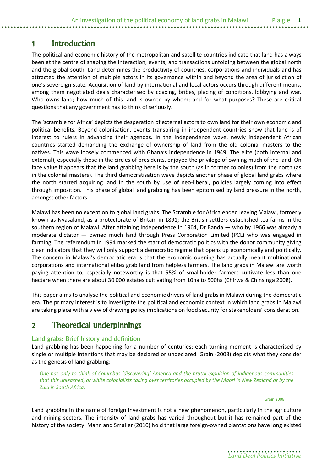# **1 Introduction**

The political and economic history of the metropolitan and satellite countries indicate that land has always been at the centre of shaping the interaction, events, and transactions unfolding between the global north and the global south. Land determines the productivity of countries, corporations and individuals and has attracted the attention of multiple actors in its governance within and beyond the area of jurisdiction of one's sovereign state. Acquisition of land by international and local actors occurs through different means, among them negotiated deals characterised by coaxing, bribes, placing of conditions, lobbying and war. Who owns land; how much of this land is owned by whom; and for what purposes? These are critical questions that any government has to think of seriously.

The 'scramble for Africa' depicts the desperation of external actors to own land for their own economic and political benefits. Beyond colonisation, events transpiring in independent countries show that land is of interest to rulers in advancing their agendas. In the Independence wave, newly independent African countries started demanding the exchange of ownership of land from the old colonial masters to the natives. This wave loosely commenced with Ghana's independence in 1949. The elite (both internal and external), especially those in the circles of presidents, enjoyed the privilege of owning much of the land. On face value it appears that the land grabbing here is by the south (as in former colonies) from the north (as in the colonial masters). The third democratisation wave depicts another phase of global land grabs where the north started acquiring land in the south by use of neo-liberal, policies largely coming into effect through imposition. This phase of global land grabbing has been epitomised by land pressure in the north, amongst other factors.

Malawi has been no exception to global land grabs. The Scramble for Africa ended leaving Malawi, formerly known as Nyasaland, as a protectorate of Britain in 1891; the British settlers established tea farms in the southern region of Malawi. After attaining independence in 1964, Dr Banda — who by 1966 was already a moderate dictator — owned much land through Press Corporation Limited (PCL) who was engaged in farming. The referendum in 1994 marked the start of democratic politics with the donor community giving clear indicators that they will only support a democratic regime that opens up economically and politically. The concern in Malawi's democratic era is that the economic opening has actually meant multinational corporations and international elites grab land from helpless farmers. The land grabs in Malawi are worth paying attention to, especially noteworthy is that 55% of smallholder farmers cultivate less than one hectare when there are about 30 000 estates cultivating from 10ha to 500ha (Chirwa & Chinsinga 2008).

This paper aims to analyse the political and economic drivers of land grabs in Malawi during the democratic era. The primary interest is to investigate the political and economic context in which land grabs in Malawi are taking place with a view of drawing policy implications on food security for stakeholders' consideration.

# **2 Theoretical underpinnings**

### Land grabs: Brief history and definition

Land grabbing has been happening for a number of centuries; each turning moment is characterised by single or multiple intentions that may be declared or undeclared. Grain (2008) depicts what they consider as the genesis of land grabbing:

*One has only to think of Columbus 'discovering' America and the brutal expulsion of indigenous communities that this unleashed, or white colonialists taking over territories occupied by the Maori in New Zealand or by the Zulu in South Africa.*

Grain 2008.

Land grabbing in the name of foreign investment is not a new phenomenon, particularly in the agriculture and mining sectors. The intensity of land grabs has varied throughout but it has remained part of the history of the society. Mann and Smaller (2010) hold that large foreign-owned plantations have long existed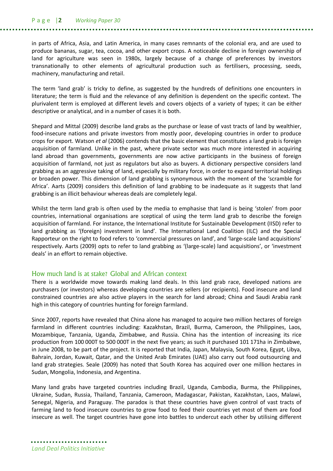#### P a g e |**2** *Working Paper 30*

in parts of Africa, Asia, and Latin America, in many cases remnants of the colonial era, and are used to produce bananas, sugar, tea, cocoa, and other export crops. A noticeable decline in foreign ownership of land for agriculture was seen in 1980s, largely because of a change of preferences by investors transnationally to other elements of agricultural production such as fertilisers, processing, seeds, machinery, manufacturing and retail.

The term 'land grab' is tricky to define, as suggested by the hundreds of definitions one encounters in literature; the term is fluid and the relevance of any definition is dependent on the specific context. The plurivalent term is employed at different levels and covers objects of a variety of types; it can be either descriptive or analytical, and in a number of cases it is both.

Shepard and Mittal (2009) describe land grabs as the purchase or lease of vast tracts of land by wealthier, food-insecure nations and private investors from mostly poor, developing countries in order to produce crops for export. Watson *et al* (2006) contends that the basic element that constitutes a land grab is foreign acquisition of farmland. Unlike in the past, where private sector was much more interested in acquiring land abroad than governments, governments are now active participants in the business of foreign acquisition of farmland, not just as regulators but also as buyers. A dictionary perspective considers land grabbing as an aggressive taking of land, especially by military force, in order to expand territorial holdings or broaden power. This dimension of land grabbing is synonymous with the moment of the 'scramble for Africa'. Aarts (2009) considers this definition of land grabbing to be inadequate as it suggests that land grabbing is an illicit behaviour whereas deals are completely legal.

Whilst the term land grab is often used by the media to emphasise that land is being 'stolen' from poor countries, international organisations are sceptical of using the term land grab to describe the foreign acquisition of farmland. For instance, the International Institute for Sustainable Development (IISD) refer to land grabbing as '(foreign) investment in land'. The International Land Coalition (ILC) and the Special Rapporteur on the right to food refers to 'commercial pressures on land', and 'large-scale land acquisitions' respectively. Aarts (2009) opts to refer to land grabbing as '(large-scale) land acquisitions', or 'investment deals' in an effort to remain objective.

#### How much land is at stake? Global and African context

There is a worldwide move towards making land deals. In this land grab race, developed nations are purchasers (or investors) whereas developing countries are sellers (or recipients). Food insecure and land constrained countries are also active players in the search for land abroad; China and Saudi Arabia rank high in this category of countries hunting for foreign farmland.

Since 2007, reports have revealed that China alone has managed to acquire two million hectares of foreign farmland in different countries including: Kazakhstan, Brazil, Burma, Cameroon, the Philippines, Laos, Mozambique, Tanzania, Uganda, Zimbabwe, and Russia. China has the intention of increasing its rice production from 100 000T to 500 000T in the next five years; as such it purchased 101 171ha in Zimbabwe, in June 2008, to be part of the project. It is reported that India, Japan, Malaysia, South Korea, Egypt, Libya, Bahrain, Jordan, Kuwait, Qatar, and the United Arab Emirates (UAE) also carry out food outsourcing and land grab strategies. Seale (2009) has noted that South Korea has acquired over one million hectares in Sudan, Mongolia, Indonesia, and Argentina.

Many land grabs have targeted countries including Brazil, Uganda, Cambodia, Burma, the Philippines, Ukraine, Sudan, Russia, Thailand, Tanzania, Cameroon, Madagascar, Pakistan, Kazakhstan, Laos, Malawi, Senegal, Nigeria, and Paraguay. The paradox is that these countries have given control of vast tracts of farming land to food insecure countries to grow food to feed their countries yet most of them are food insecure as well. The target countries have gone into battles to undercut each other by utilising different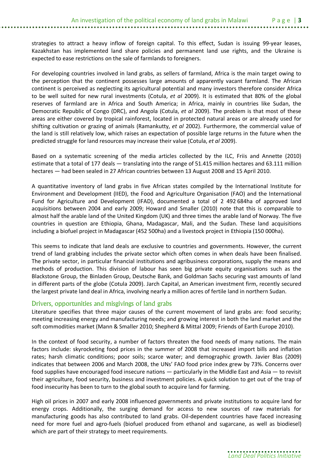strategies to attract a heavy inflow of foreign capital. To this effect, Sudan is issuing 99-year leases, Kazakhstan has implemented land share policies and permanent land use rights, and the Ukraine is expected to ease restrictions on the sale of farmlands to foreigners.

For developing countries involved in land grabs, as sellers of farmland, Africa is the main target owing to the perception that the continent possesses large amounts of apparently vacant farmland. The African continent is perceived as neglecting its agricultural potential and many investors therefore consider Africa to be well suited for new rural investments (Cotula, *et al* 2009). It is estimated that 80% of the global reserves of farmland are in Africa and South America; in Africa, mainly in countries like Sudan, the Democratic Republic of Congo (DRC), and Angola (Cotula, *et al* 2009). The problem is that most of these areas are either covered by tropical rainforest, located in protected natural areas or are already used for shifting cultivation or grazing of animals (Ramankutty, *et al* 2002). Furthermore, the commercial value of the land is still relatively low, which raises an expectation of possible large returns in the future when the predicted struggle for land resources may increase their value (Cotula, *et al* 2009).

Based on a systematic screening of the media articles collected by the ILC, Friis and Annette (2010) estimate that a total of 177 deals — translating into the range of 51.415 million hectares and 63.111 million hectares — had been sealed in 27 African countries between 13 August 2008 and 15 April 2010.

A quantitative inventory of land grabs in five African states compiled by the International Institute for Environment and Development (IIED), the Food and Agriculture Organisation (FAO) and the International Fund for Agriculture and Development (IFAD), documented a total of 2 492 684ha of approved land acquisitions between 2004 and early 2009; Howard and Smaller (2010) note that this is comparable to almost half the arable land of the United Kingdom (UK) and three times the arable land of Norway. The five countries in question are Ethiopia, Ghana, Madagascar, Mali, and the Sudan. These land acquisitions including a biofuel project in Madagascar (452 500ha) and a livestock project in Ethiopia (150 000ha).

This seems to indicate that land deals are exclusive to countries and governments. However, the current trend of land grabbing includes the private sector which often comes in when deals have been finalised. The private sector, in particular financial institutions and agribusiness corporations, supply the means and methods of production. This division of labour has seen big private equity organisations such as the Blackstone Group, the Binladen Group, Deutsche Bank, and Goldman Sachs securing vast amounts of land in different parts of the globe (Cotula 2009). Jarch Capital, an American investment firm, recently secured the largest private land deal in Africa, involving nearly a million acres of fertile land in northern Sudan.

### Drivers, opportunities and misgivings of land grabs

Literature specifies that three major causes of the current movement of land grabs are: food security; meeting increasing energy and manufacturing needs; and growing interest in both the land market and the soft commodities market (Mann & Smaller 2010; Shepherd & Mittal 2009; Friends of Earth Europe 2010).

In the context of food security, a number of factors threaten the food needs of many nations. The main factors include: skyrocketing food prices in the summer of 2008 that increased import bills and inflation rates; harsh climatic conditions; poor soils; scarce water; and demographic growth. Javier Blas (2009) indicates that between 2006 and March 2008, the UNs' FAO food price index grew by 73%. Concerns over food supplies have encouraged food insecure nations — particularly in the Middle East and Asia — to revisit their agriculture, food security, business and investment policies. A quick solution to get out of the trap of food insecurity has been to turn to the global south to acquire land for farming.

High oil prices in 2007 and early 2008 influenced governments and private institutions to acquire land for energy crops. Additionally, the surging demand for access to new sources of raw materials for manufacturing goods has also contributed to land grabs. Oil-dependent countries have faced increasing need for more fuel and agro-fuels (biofuel produced from ethanol and sugarcane, as well as biodiesel) which are part of their strategy to meet requirements.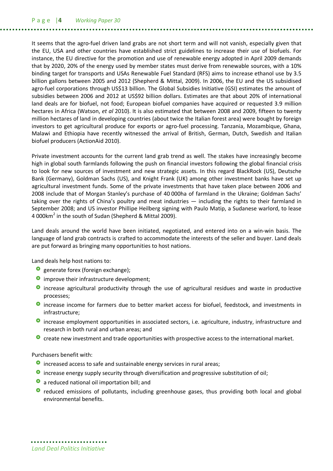P a g e |**4** *Working Paper 30*

It seems that the agro-fuel driven land grabs are not short term and will not vanish, especially given that the EU, USA and other countries have established strict guidelines to increase their use of biofuels. For instance, the EU directive for the promotion and use of renewable energy adopted in April 2009 demands that by 2020, 20% of the energy used by member states must derive from renewable sources, with a 10% binding target for transports and USAs Renewable Fuel Standard (RFS) aims to increase ethanol use by 3.5 billion gallons between 2005 and 2012 (Shepherd & Mittal, 2009). In 2006, the EU and the US subsidised agro-fuel corporations through US\$13 billion. The Global Subsidies Initiative (GSI) estimates the amount of subsidies between 2006 and 2012 at US\$92 billion dollars. Estimates are that about 20% of international land deals are for biofuel, not food; European biofuel companies have acquired or requested 3.9 million hectares in Africa (Watson, *et al* 2010). It is also estimated that between 2008 and 2009, fifteen to twenty million hectares of land in developing countries (about twice the Italian forest area) were bought by foreign investors to get agricultural produce for exports or agro-fuel processing. Tanzania, Mozambique, Ghana, Malawi and Ethiopia have recently witnessed the arrival of British, German, Dutch, Swedish and Italian biofuel producers (ActionAid 2010).

Private investment accounts for the current land grab trend as well. The stakes have increasingly become high in global south farmlands following the push on financial investors following the global financial crisis to look for new sources of investment and new strategic assets. In this regard BlackRock (US), Deutsche Bank (Germany), Goldman Sachs (US), and Knight Frank (UK) among other investment banks have set up agricultural investment funds. Some of the private investments that have taken place between 2006 and 2008 include that of Morgan Stanley's purchase of 40 000ha of farmland in the Ukraine; Goldman Sachs' taking over the rights of China's poultry and meat industries — including the rights to their farmland in September 2008; and US investor Phillipe Heilberg signing with Paulo Matip, a Sudanese warlord, to lease 4 000km<sup>2</sup> in the south of Sudan (Shepherd & Mittal 2009).

Land deals around the world have been initiated, negotiated, and entered into on a win-win basis. The language of land grab contracts is crafted to accommodate the interests of the seller and buyer. Land deals are put forward as bringing many opportunities to host nations.

Land deals help host nations to:

- **o** generate forex (foreign exchange);
- **O** improve their infrastructure development;
- **O** increase agricultural productivity through the use of agricultural residues and waste in productive processes;
- **O** increase income for farmers due to better market access for biofuel, feedstock, and investments in infrastructure;
- **O** increase employment opportunities in associated sectors, i.e. agriculture, industry, infrastructure and research in both rural and urban areas; and
- **O** create new investment and trade opportunities with prospective access to the international market.

Purchasers benefit with:

- **O** increased access to safe and sustainable energy services in rural areas;
- **O** increase energy supply security through diversification and progressive substitution of oil;
- **a** reduced national oil importation bill; and
- **•** reduced emissions of pollutants, including greenhouse gases, thus providing both local and global environmental benefits.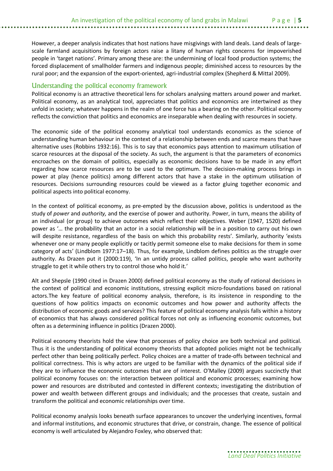However, a deeper analysis indicates that host nations have misgivings with land deals. Land deals of largescale farmland acquisitions by foreign actors raise a litany of human rights concerns for impoverished people in 'target nations'. Primary among these are: the undermining of local food production systems; the forced displacement of smallholder farmers and indigenous people; diminished access to resources by the rural poor; and the expansion of the export-oriented, agri-industrial complex (Shepherd & Mittal 2009).

### Understanding the political economy framework

Political economy is an attractive theoretical lens for scholars analysing matters around power and market. Political economy, as an analytical tool, appreciates that politics and economics are intertwined as they unfold in society; whatever happens in the realm of one force has a bearing on the other. Political economy reflects the conviction that politics and economics are inseparable when dealing with resources in society.

The economic side of the political economy analytical tool understands economics as the science of understanding human behaviour in the context of a relationship between ends and scarce means that have alternative uses (Robbins 1932:16). This is to say that economics pays attention to maximum utilisation of scarce resources at the disposal of the society. As such, the argument is that the parameters of economics encroaches on the domain of politics, especially as economic decisions have to be made in any effort regarding how scarce resources are to be used to the optimum. The decision-making process brings in power at play (hence politics) among different actors that have a stake in the optimum utilisation of resources. Decisions surrounding resources could be viewed as a factor gluing together economic and political aspects into political economy.

In the context of political economy, as pre-empted by the discussion above, politics is understood as the study of *power* and *authority,* and the exercise of power and authority. Power, in turn, means the ability of an individual (or group) to achieve outcomes which reflect their objectives. Weber (1947, 1520) defined power as '… the probability that an actor in a social relationship will be in a position to carry out his own will despite resistance, regardless of the basis on which this probability rests'. Similarly, authority 'exists whenever one or many people explicitly or tacitly permit someone else to make decisions for them in some category of acts' (Lindblom 1977:17–18). Thus, for example, Lindblom defines politics as the struggle over authority. As Drazen put it (2000:119), 'In an untidy process called politics, people who want authority struggle to get it while others try to control those who hold it.'

Alt and Shepsle (1990 cited in Drazen 2000) defined political economy as the study of rational decisions in the context of political and economic institutions, stressing explicit micro-foundations based on rational actors.The key feature of political economy analysis, therefore, is its insistence in responding to the questions of how politics impacts on economic outcomes and how power and authority affects the distribution of economic goods and services? This feature of political economy analysis falls within a history of economics that has always considered political forces not only as influencing economic outcomes, but often as a determining influence in politics (Drazen 2000).

Political economy theorists hold the view that processes of policy choice are both technical and political. Thus it is the understanding of political economy theorists that adopted policies might not be technically perfect other than being politically perfect. Policy choices are a matter of trade-offs between technical and political correctness. This is why actors are urged to be familiar with the dynamics of the political side if they are to influence the economic outcomes that are of interest. O'Malley (2009) argues succinctly that political economy focuses on: the interaction between political and economic processes; examining how power and resources are distributed and contested in different contexts; investigating the distribution of power and wealth between different groups and individuals; and the processes that create, sustain and transform the political and economic relationships over time.

Political economy analysis looks beneath surface appearances to uncover the underlying incentives, formal and informal institutions, and economic structures that drive, or constrain, change. The essence of political economy is well articulated by Alejandro Foxley, who observed that: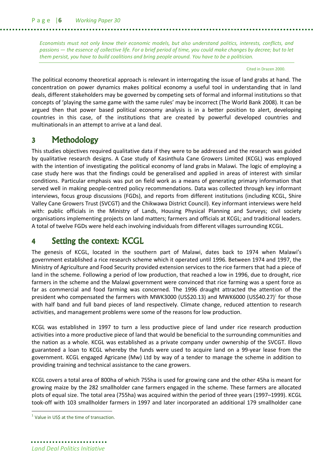*Economists must not only know their economic models, but also understand politics, interests, conflicts, and passions — the essence of collective life. For a brief period of time, you could make changes by decree; but to let them persist, you have to build coalitions and bring people around. You have to be a politician.*

Cited in Drazen 2000.

The political economy theoretical approach is relevant in interrogating the issue of land grabs at hand. The concentration on power dynamics makes political economy a useful tool in understanding that in land deals, different stakeholders may be governed by competing sets of formal and informal institutions so that concepts of 'playing the same game with the same rules' may be incorrect (The World Bank 2008). It can be argued then that power based political economy analysis is in a better position to alert, developing countries in this case, of the institutions that are created by powerful developed countries and multinationals in an attempt to arrive at a land deal.

# **3 Methodology**

This studies objectives required qualitative data if they were to be addressed and the research was guided by qualitative research designs. A Case study of Kasinthula Cane Growers Limited (KCGL) was employed with the intention of investigating the political economy of land grabs in Malawi. The logic of employing a case study here was that the findings could be generalised and applied in areas of interest with similar conditions. Particular emphasis was put on field work as a means of generating primary information that served well in making people-centred policy recommendations. Data was collected through key informant interviews, focus group discussions (FGDs), and reports from different institutions (including KCGL, Shire Valley Cane Growers Trust (SVCGT) and the Chikwawa District Council). Key informant interviews were held with: public officials in the Ministry of Lands, Housing Physical Planning and Surveys; civil society organisations implementing projects on land matters; farmers and officials at KCGL; and traditional leaders. A total of twelve FGDs were held each involving individuals from different villages surrounding KCGL.

# **4 Setting the context: KCGL**

The genesis of KCGL, located in the southern part of Malawi, dates back to 1974 when Malawi's government established a rice research scheme which it operated until 1996. Between 1974 and 1997, the Ministry of Agriculture and Food Security provided extension services to the rice farmers that had a piece of land in the scheme. Following a period of low production, that reached a low in 1996, due to drought, rice farmers in the scheme and the Malawi government were convinced that rice farming was a spent force as far as commercial and food farming was concerned. The 1996 draught attracted the attention of the president who compensated the farmers with MWK3000 (US\$20.13) and MWK6000 (US\$40.27)<sup>1</sup> for those with half band and full band pieces of land respectively. Climate change, reduced attention to research activities, and management problems were some of the reasons for low production.

KCGL was established in 1997 to turn a less productive piece of land under rice research production activities into a more productive piece of land that would be beneficial to the surrounding communities and the nation as a whole. KCGL was established as a private company under ownership of the SVCGT. Illovo guaranteed a loan to KCGL whereby the funds were used to acquire land on a 99-year lease from the government. KCGL engaged Agricane (Mw) Ltd by way of a tender to manage the scheme in addition to providing training and technical assistance to the cane growers.

KCGL covers a total area of 800ha of which 755ha is used for growing cane and the other 45ha is meant for growing maize by the 282 smallholder cane farmers engaged in the scheme. These farmers are allocated plots of equal size. The total area (755ha) was acquired within the period of three years (1997–1999). KCGL took-off with 103 smallholder farmers in 1997 and later incorporated an additional 179 smallholder cane

 $\overline{\phantom{a}}$ 

 $1$  Value in US\$ at the time of transaction.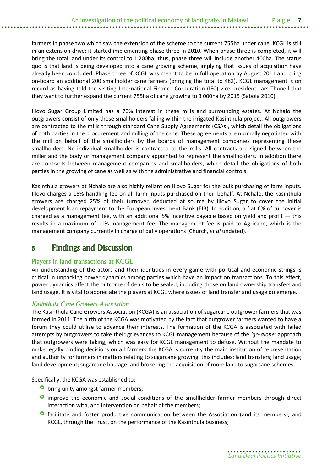farmers in phase two which saw the extension of the scheme to the current 755ha under cane. KCGL is still in an extension drive; it started implementing phase three in 2010. When phase three is completed, it will bring the total land under its control to 1 200ha; thus, phase three will include another 400ha. The status quo is that land is being developed into a cane growing scheme, implying that issues of acquisition have already been concluded. Phase three of KCGL was meant to be in full operation by August 2011 and bring on-board an additional 200 smallholder cane farmers (bringing the total to 482). KCGL management is on record as having told the visiting International Finance Corporation (IFC) vice president Lars Thunell that they want to further expand the current 755ha of cane growing to 3 000ha by 2015 (Sabola 2010).

Illovo Sugar Group Limited has a 70% interest in these mills and surrounding estates. At Nchalo the outgrowers consist of only those smallholders falling within the irrigated Kasinthula project. All outgrowers are contracted to the mills through standard Cane Supply Agreements (CSAs), which detail the obligations of both parties in the procurement and milling of the cane. These agreements are normally negotiated with the mill on behalf of the smallholders by the boards of management companies representing these smallholders. No individual smallholder is contracted to the mills. All contracts are signed between the miller and the body or management company appointed to represent the smallholders. In addition there are contracts between management companies and smallholders, which detail the obligations of both parties in the growing of cane as well as with the administrative and financial controls.

Kasinthula growers at Nchalo are also highly reliant on Illovo Sugar for the bulk purchasing of farm inputs. Illovo charges a 15% handling fee on all farm inputs purchased on their behalf. At Nchalo, the Kasinthula growers are charged 25% of their turnover, deducted at source by Illovo Sugar to cover the initial development loan repayment to the European Investment Bank (EIB). In addition, a flat 6% of turnover is charged as a management fee, with an additional 5% incentive payable based on yield and profit — this results in a maximum of 11% management fee. The management fee is paid to Agricane, which is the management company currently in charge of daily operations (Church, *et al* undated).

# **5 Findings and Discussion**

### Players in land transactions at KCGL

An understanding of the actors and their identities in every game with political and economic strings is critical in unpacking power dynamics among parties which have an impact on transactions. To this effect, power dynamics affect the outcome of deals to be sealed, including those on land ownership transfers and land usage. It is vital to appreciate the players at KCGL where issues of land transfer and usage do emerge.

### *Kasinthula Cane Growers Association*

The Kasinthula Cane Growers Association (KCGA) is an association of sugarcane outgrower farmers that was formed in 2011. The birth of the KCGA was motivated by the fact that outgrower farmers wanted to have a forum they could utilise to advance their interests. The formation of the KCGA is associated with failed attempts by outgrowers to take their grievances to KCGL management because of the *'go-alone'* approach that outgrowers were taking, which was easy for KCGL management to defuse. Without the mandate to make legally binding decisions on all farmers the KCGA is currently the main institution of representation and authority for farmers in matters relating to sugarcane growing, this includes: land transfers; land usage; land development; sugarcane haulage; and brokering the acquisition of more land to sugarcane schemes.

Specifically, the KCGA was established to:

- **O** bring unity amongst farmer members;
- **O** improve the economic and social conditions of the smallholder farmer members through direct interaction with, and intervention on behalf of the members;
- **O** facilitate and foster productive communication between the Association (and its members), and KCGL, through the Trust, on the performance of the Kasinthula business;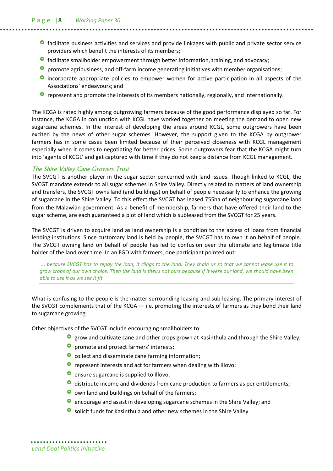- **O** facilitate business activities and services and provide linkages with public and private sector service providers which benefit the interests of its members;
- **O** facilitate smallholder empowerment through better information, training, and advocacy;
- **O** promote agribusiness, and off-farm income generating initiatives with member organisations;
- **O** incorporate appropriate policies to empower women for active participation in all aspects of the Associations' endeavours; and
- **O** represent and promote the interests of its members nationally, regionally, and internationally.

The KCGA is rated highly among outgrowing farmers because of the good performance displayed so far. For instance, the KCGA in conjunction with KCGL have worked together on meeting the demand to open new sugarcane schemes. In the interest of developing the areas around KCGL, some outgrowers have been excited by the news of other sugar schemes. However, the support given to the KCGA by outgrower farmers has in some cases been limited because of their perceived closeness with KCGL management especially when it comes to negotiating for better prices. Some outgrowers fear that the KCGA might turn into 'agents of KCGL' and get captured with time if they do not keep a distance from KCGL management.

### *The Shire Valley Cane Growers Trust*

The SVCGT is another player in the sugar sector concerned with land issues. Though linked to KCGL, the SVCGT mandate extends to all sugar schemes in Shire Valley. Directly related to matters of land ownership and transfers, the SVCGT owns land (and buildings) on behalf of people necessarily to enhance the growing of sugarcane in the Shire Valley. To this effect the SVCGT has leased 755ha of neighbouring sugarcane land from the Malawian government. As a benefit of membership, farmers that have offered their land to the sugar scheme, are each guaranteed a plot of land which is subleased from the SVCGT for 25 years.

The SVCGT is driven to acquire land as land ownership is a condition to the access of loans from financial lending institutions. Since customary land is held by people, the SVCGT has to own it on behalf of people. The SVCGT owning land on behalf of people has led to confusion over the ultimate and legitimate title holder of the land over time. In an FGD with farmers, one participant pointed out:

*... because SVCGT has to repay the loan, it clings to the land. They chain us so that we cannot lease use it to grow crops of our own choice. Then the land is theirs not ours because if it were our land, we should have been able to use it as we see it fit.*

What is confusing to the people is the matter surrounding leasing and sub-leasing. The primary interest of the SVCGT complements that of the KCGA — i.e. promoting the interests of farmers as they bond their land to sugarcane growing.

Other objectives of the SVCGT include encouraging smallholders to:

- **O** grow and cultivate cane and other crops grown at Kasinthula and through the Shire Valley;
- **O** promote and protect farmers' interests;
- **O** collect and disseminate cane farming information;
- **O** represent interests and act for farmers when dealing with Illovo;
- **O** ensure sugarcane is supplied to Illovo;
- distribute income and dividends from cane production to farmers as per entitlements;
- **O** own land and buildings on behalf of the farmers;
- $\bullet$  encourage and assist in developing sugarcane schemes in the Shire Valley; and
- **O** solicit funds for Kasinthula and other new schemes in the Shire Valley.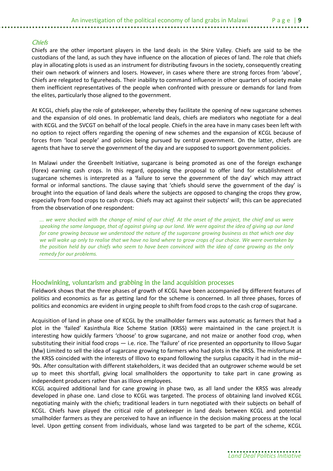#### *Chiefs*

Chiefs are the other important players in the land deals in the Shire Valley. Chiefs are said to be the custodians of the land, as such they have influence on the allocation of pieces of land. The role that chiefs play in allocating plots is used as an instrument for distributing favours in the society, consequently creating their own network of winners and losers. However, in cases where there are strong forces from 'above', Chiefs are relegated to figureheads. Their inability to command influence in other quarters of society make them inefficient representatives of the people when confronted with pressure or demands for land from the elites, particularly those aligned to the government.

At KCGL, chiefs play the role of gatekeeper, whereby they facilitate the opening of new sugarcane schemes and the expansion of old ones. In problematic land deals, chiefs are mediators who negotiate for a deal with KCGL and the SVCGT on behalf of the local people. Chiefs in the area have in many cases been left with no option to reject offers regarding the opening of new schemes and the expansion of KCGL because of forces from 'local people' and policies being pursued by central government. On the latter, chiefs are agents that have to serve the government of the day and are supposed to support government policies.

In Malawi under the Greenbelt Initiative, sugarcane is being promoted as one of the foreign exchange (forex) earning cash crops. In this regard, opposing the proposal to offer land for establishment of sugarcane schemes is interpreted as a 'failure to serve the government of the day' which may attract formal or informal sanctions. The clause saying that 'chiefs should serve the government of the day' is brought into the equation of land deals where the subjects are opposed to changing the crops they grow, especially from food crops to cash crops. Chiefs may act against their subjects' will; this can be appreciated from the observation of one respondent:

*... we were shocked with the change of mind of our chief. At the onset of the project, the chief and us were speaking the same language, that of against giving up our land. We were against the idea of giving up our land for cane growing because we understood the nature of the sugarcane growing business as that which one day we will wake up only to realise that we have no land where to grow crops of our choice. We were overtaken by the position held by our chiefs who seem to have been convinced with the idea of cane growing as the only remedy for our problems.*

### Hoodwinking, voluntarism and grabbing in the land acquisition processes

Fieldwork shows that the three phases of growth of KCGL have been accompanied by different features of politics and economics as far as getting land for the scheme is concerned. In all three phases, forces of politics and economics are evident in urging people to shift from food crops to the cash crop of sugarcane.

Acquisition of land in phase one of KCGL by the smallholder farmers was automatic as farmers that had a plot in the 'failed' Kasinthula Rice Scheme Station (KRSS) were maintained in the cane project.It is interesting how quickly farmers 'choose' to grow sugarcane, and not maize or another food crop, when substituting their initial food crops — i.e. rice. The 'failure' of rice presented an opportunity to Illovo Sugar (Mw) Limited to sell the idea of sugarcane growing to farmers who had plots in the KRSS. The misfortune at the KRSS coincided with the interests of Illovo to expand following the surplus capacity it had in the mid– 90s. After consultation with different stakeholders, it was decided that an outgrower scheme would be set up to meet this shortfall, giving local smallholders the opportunity to take part in cane growing as independent producers rather than as Illovo employees.

KCGL acquired additional land for cane growing in phase two, as all land under the KRSS was already developed in phase one. Land close to KCGL was targeted. The process of obtaining land involved KCGL negotiating mainly with the chiefs; traditional leaders in turn negotiated with their subjects on behalf of KCGL. Chiefs have played the critical role of gatekeeper in land deals between KCGL and potential smallholder farmers as they are perceived to have an influence in the decision making process at the local level. Upon getting consent from individuals, whose land was targeted to be part of the scheme, KCGL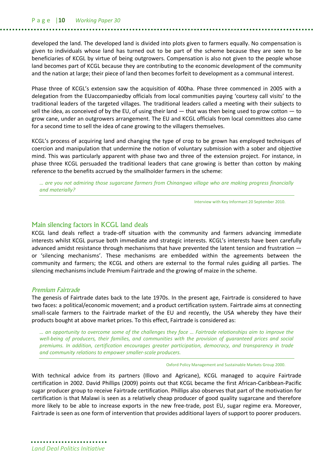developed the land. The developed land is divided into plots given to farmers equally. No compensation is given to individuals whose land has turned out to be part of the scheme because they are seen to be beneficiaries of KCGL by virtue of being outgrowers. Compensation is also not given to the people whose land becomes part of KCGL because they are contributing to the economic development of the community and the nation at large; their piece of land then becomes forfeit to development as a communal interest.

Phase three of KCGL's extension saw the acquisition of 400ha. Phase three commenced in 2005 with a delegation from the EUaccompaniedby officials from local communities paying 'courtesy call visits' to the traditional leaders of the targeted villages. The traditional leaders called a meeting with their subjects to sell the idea, as conceived of by the EU, of using their land  $-$  that was then being used to grow cotton  $-$  to grow cane, under an outgrowers arrangement. The EU and KCGL officials from local committees also came for a second time to sell the idea of cane growing to the villagers themselves.

KCGL's process of acquiring land and changing the type of crop to be grown has employed techniques of coercion and manipulation that undermine the notion of voluntary submission with a sober and objective mind. This was particularly apparent with phase two and three of the extension project. For instance, in phase three KCGL persuaded the traditional leaders that cane growing is better than cotton by making reference to the benefits accrued by the smallholder farmers in the scheme:

*… are you not admiring those sugarcane farmers from Chinangwa village who are making progress financially and materially?*

Interview with Key Informant 20 September 2010.

#### Main silencing factors in KCGL land deals

KCGL land deals reflect a trade-off situation with the community and farmers advancing immediate interests whilst KCGL pursue both immediate and strategic interests. KCGL's interests have been carefully advanced amidst resistance through mechanisms that have prevented the latent tension and frustration or 'silencing mechanisms'. These mechanisms are embedded within the agreements between the community and farmers; the KCGL and others are external to the formal rules guiding all parties. The silencing mechanisms include Premium Fairtrade and the growing of maize in the scheme.

#### *Premium Fairtrade*

The genesis of Fairtrade dates back to the late 1970s. In the present age, Fairtrade is considered to have two faces: a political/economic movement; and a product certification system. Fairtrade aims at connecting small-scale farmers to the Fairtrade market of the EU and recently, the USA whereby they have their products bought at above market prices. To this effect, Fairtrade is considered as:

*… an opportunity to overcome some of the challenges they face … Fairtrade relationships aim to improve the*  well-being of producers, their families, and communities with the provision of quaranteed prices and social *premiums. In addition, certification encourages greater participation, democracy, and transparency in trade and community relations to empower smaller-scale producers.*

Oxford Policy Management and Sustainable Markets Group 2000.

With technical advice from its partners (Illovo and Agricane), KCGL managed to acquire Fairtrade certification in 2002. David Phillips (2009) points out that KCGL became the first African-Caribbean-Pacific sugar producer group to receive Fairtrade certification. Phillips also observes that part of the motivation for certification is that Malawi is seen as a relatively cheap producer of good quality sugarcane and therefore more likely to be able to increase exports in the new free-trade, post EU, sugar regime era. Moreover, Fairtrade is seen as one form of intervention that provides additional layers of support to poorer producers.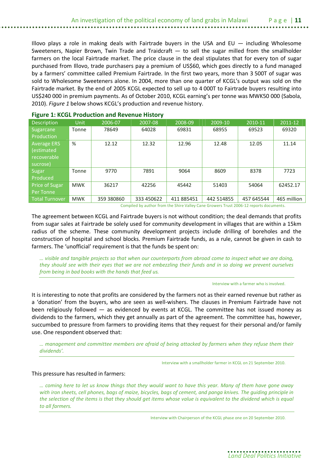Illovo plays a role in making deals with Fairtrade buyers in the USA and  $EU -$  including Wholesome Sweeteners, Napier Brown, Twin Trade and Traidcraft — to sell the sugar milled from the smallholder farmers on the local Fairtrade market. The price clause in the deal stipulates that for every ton of sugar purchased from Illovo, trade purchasers pay a premium of US\$60, which goes directly to a fund managed by a farmers' committee called Premium Fairtrade. In the first two years, more than 3 500T of sugar was sold to Wholesome Sweeteners alone. In 2004, more than one quarter of KCGL's output was sold on the Fairtrade market. By the end of 2005 KCGL expected to sell up to 4 000T to Fairtrade buyers resulting into US\$240 000 in premium payments. As of October 2010, KCGL earning's per tonne was MWK50 000 (Sabola, 2010). *Figure 1* below shows KCGL's production and revenue history.

| <b>Description</b>                                                                                                                                                                                                                | Unit       | 2006-07    | 2007-08    | 2008-09    | 2009-10    | 2010-11    | 2011-12     |
|-----------------------------------------------------------------------------------------------------------------------------------------------------------------------------------------------------------------------------------|------------|------------|------------|------------|------------|------------|-------------|
| Sugarcane                                                                                                                                                                                                                         | Tonne      | 78649      | 64028      | 69831      | 68955      | 69523      | 69320       |
| Production                                                                                                                                                                                                                        |            |            |            |            |            |            |             |
| <b>Average ERS</b>                                                                                                                                                                                                                | %          | 12.12      | 12.32      | 12.96      | 12.48      | 12.05      | 11.14       |
| (estimated                                                                                                                                                                                                                        |            |            |            |            |            |            |             |
| recoverable                                                                                                                                                                                                                       |            |            |            |            |            |            |             |
| sucrose)                                                                                                                                                                                                                          |            |            |            |            |            |            |             |
| Sugar                                                                                                                                                                                                                             | Tonne      | 9770       | 7891       | 9064       | 8609       | 8378       | 7723        |
| Produced                                                                                                                                                                                                                          |            |            |            |            |            |            |             |
| Price of Sugar                                                                                                                                                                                                                    | <b>MWK</b> | 36217      | 42256      | 45442      | 51403      | 54064      | 62452.17    |
| Per Tonne                                                                                                                                                                                                                         |            |            |            |            |            |            |             |
| Total Turnover                                                                                                                                                                                                                    | <b>MWK</b> | 359 380860 | 333 450622 | 411 885451 | 442 514855 | 457 645544 | 465 million |
| $\alpha$ is the contract of the contract of the contract of the contract of the contract of the contract of the contract of the contract of the contract of the contract of the contract of the contract of the contract of the c |            |            |            |            |            |            |             |

### **Figure 1: KCGL Production and Revenue History**

Compiled by author from the Shire Valley Cane Growers Trust 2006-12 reports documents.

The agreement between KCGL and Fairtrade buyers is not without condition; the deal demands that profits from sugar sales at Fairtrade be solely used for community development in villages that are within a 15km radius of the scheme. These community development projects include drilling of boreholes and the construction of hospital and school blocks. Premium Fairtrade funds, as a rule, cannot be given in cash to farmers. The 'unofficial' requirement is that the funds be spent on:

*… visible and tangible projects so that when our counterparts from abroad come to inspect what we are doing, they should see with their eyes that we are not embezzling their funds and in so doing we prevent ourselves from being in bad books with the hands that feed us.*

Interview with a farmer who is involved.

It is interesting to note that profits are considered by the farmers not as their earned revenue but rather as a 'donation' from the buyers, who are seen as well-wishers. The clauses in Premium Fairtrade have not been religiously followed — as evidenced by events at KCGL. The committee has not issued money as dividends to the farmers, which they get annually as part of the agreement. The committee has, however, succumbed to pressure from farmers to providing items that they request for their personal and/or family use. One respondent observed that:

*… management and committee members are afraid of being attacked by farmers when they refuse them their dividends'.*

Interview with a smallholder farmer in KCGL on 21 September 2010.

#### This pressure has resulted in farmers:

*… coming here to let us know things that they would want to have this year. Many of them have gone away with iron sheets, cell phones, bags of maize, bicycles, bags of cement, and panga knives. The guiding principle in the selection of the items is that they should get items whose value is equivalent to the dividend which is equal to all farmers.*

Interview with Chairperson of the KCGL phase one on 20 September 2010.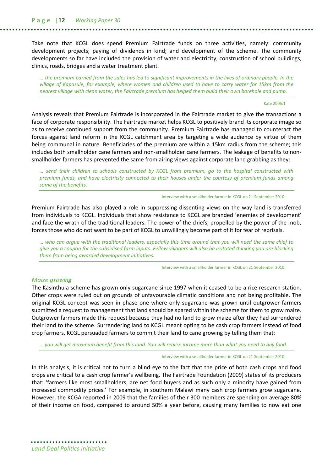Take note that KCGL does spend Premium Fairtrade funds on three activities, namely: community development projects; paying of dividends in kind; and development of the scheme. The community developments so far have included the provision of water and electricity, construction of school buildings, clinics, roads, bridges and a water treatment plant.

*… the premium earned from the sales has led to significant improvements in the lives of ordinary people. In the village of Kapasule, for example, where women and children used to have to carry water for 15km from the nearest village with clean water, the Fairtrade premium has helped them build their own borehole and pump.*

#### Kate 2005:1

Analysis reveals that Premium Fairtrade is incorporated in the Fairtrade market to give the transactions a face of corporate responsibility. The Fairtrade market helps KCGL to positively brand its corporate image so as to receive continued support from the community. Premium Fairtrade has managed to counteract the forces against land reform in the KCGL catchment area by targeting a wide audience by virtue of them being communal in nature. Beneficiaries of the premium are within a 15km radius from the scheme; this includes both smallholder cane farmers and non-smallholder cane farmers. The leakage of benefits to nonsmallholder farmers has prevented the same from airing views against corporate land grabbing as they:

*… send their children to schools constructed by KCGL from premium, go to the hospital constructed with premium funds, and have electricity connected to their houses under the courtesy of premium funds among some of the benefits.*

Interview with a smallholder farmer in KCGL on 21 September 2010.

Premium Fairtrade has also played a role in suppressing dissenting views on the way land is transferred from individuals to KCGL. Individuals that show resistance to KCGL are branded 'enemies of development' and face the wrath of the traditional leaders. The power of the chiefs, propelled by the power of the mob, forces those who do not want to be part of KCGL to unwillingly become part of it for fear of reprisals.

*… who can argue with the traditional leaders, especially this time around that you will need the same chief to give you a coupon for the subsidised farm inputs. Fellow villagers will also be irritated thinking you are blocking them from being awarded development initiatives.*

Interview with a smallholder farmer in KCGL on 21 September 2010.

#### *Maize growing*

The Kasinthula scheme has grown only sugarcane since 1997 when it ceased to be a rice research station. Other crops were ruled out on grounds of unfavourable climatic conditions and not being profitable. The original KCGL concept was seen in phase one where only sugarcane was grown until outgrower farmers submitted a request to management that land should be spared within the scheme for them to grow maize. Outgrower farmers made this request because they had no land to grow maize after they had surrendered their land to the scheme. Surrendering land to KCGL meant opting to be cash crop farmers instead of food crop farmers. KCGL persuaded farmers to commit their land to cane growing by telling them that:

*… you will get maximum benefit from this land. You will realise income more than what you need to buy food.*

#### Interview with a smallholder farmer in KCGL on 21 September 2010.

In this analysis, it is critical not to turn a blind eye to the fact that the price of both cash crops and food crops are critical to a cash crop farmer's wellbeing. The Fairtrade Foundation (2009) states of its producers that: 'farmers like most smallholders, are net food buyers and as such only a minority have gained from increased commodity prices.' For example, in southern Malawi many cash crop farmers grow sugarcane. However, the KCGA reported in 2009 that the families of their 300 members are spending on average 80% of their income on food, compared to around 50% a year before, causing many families to now eat one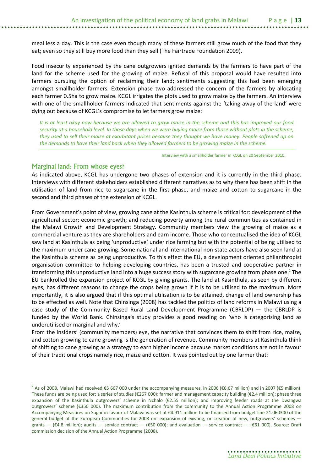meal less a day. This is the case even though many of these farmers still grow much of the food that they eat; even so they still buy more food than they sell (The Fairtrade Foundation 2009).

Food insecurity experienced by the cane outgrowers ignited demands by the farmers to have part of the land for the scheme used for the growing of maize. Refusal of this proposal would have resulted into farmers pursuing the option of reclaiming their land; sentiments suggesting this had been emerging amongst smallholder farmers. Extension phase two addressed the concern of the farmers by allocating each farmer 0.5ha to grow maize. KCGL irrigates the plots used to grow maize by the farmers. An interview with one of the smallholder farmers indicated that sentiments against the 'taking away of the land' were dying out because of KCGL's compromise to let farmers grow maize:

*It is at least okay now because we are allowed to grow maize in the scheme and this has improved our food security at a household level. In those days when we were buying maize from those without plots in the scheme, they used to sell their maize at exorbitant prices because they thought we have money. People softened up on the demands to have their land back when they allowed farmers to be growing maize in the scheme.*

Interview with a smallholder farmer in KCGL on 20 September 2010.

### Marginal land: From whose eyes?

 $\overline{a}$ 

As indicated above, KCGL has undergone two phases of extension and it is currently in the third phase. Interviews with different stakeholders established different narratives as to why there has been shift in the utilisation of land from rice to sugarcane in the first phase, and maize and cotton to sugarcane in the second and third phases of the extension of KCGL.

From Government's point of view, growing cane at the Kasinthula scheme is critical for: development of the agricultural sector; economic growth; and reducing poverty among the rural communities as contained in the Malawi Growth and Development Strategy. Community members view the growing of maize as a commercial venture as they are shareholders and earn income. Those who conceptualised the idea of KCGL saw land at Kasinthula as being 'unproductive' under rice farming but with the potential of being utilised to the maximum under cane growing. Some national and international non-state actors have also seen land at the Kasinthula scheme as being unproductive. To this effect the EU, a development oriented philanthropist organisation committed to helping developing countries, has been a trusted and cooperative partner in transforming this unproductive land into a huge success story with sugarcane growing from phase one.<sup>2</sup> The EU bankrolled the expansion project of KCGL by giving grants. The land at Kasinthula, as seen by different eyes, has different reasons to change the crops being grown if it is to be utilised to the maximum. More importantly, it is also argued that if this optimal utilisation is to be attained, change of land ownership has to be effected as well. Note that Chinsinga (2008) has tackled the politics of land reforms in Malawi using a case study of the Community Based Rural Land Development Programme (CBRLDP) — the CBRLDP is funded by the World Bank. Chinsinga's study provides a good reading on 'who is categorising land as underutilised or marginal and why.'

From the insiders' (community members) eye, the narrative that convinces them to shift from rice, maize, and cotton growing to cane growing is the generation of revenue. Community members at Kasinthula think of shifting to cane growing as a strategy to earn higher income because market conditions are not in favour of their traditional crops namely rice, maize and cotton. It was pointed out by one farmer that:

<sup>&</sup>lt;sup>2</sup> As of 2008, Malawi had received €5 667 000 under the accompanying measures, in 2006 (€6.67 million) and in 2007 (€5 million). These funds are being used for: a series of studies ( $\epsilon$ 267 000); farmer and management capacity building ( $\epsilon$ 2.4 million); phase three expansion of the Kasinthula outgrowers' scheme in Nchalo (€2.55 million); and improving feeder roads at the Dwangwa outgrowers' scheme (€350 000). The maximum contribution from the community to the Annual Action Programme 2008 on Accompanying Measures on Sugar in favour of Malawi was set at €4.911 million to be financed from budget line 21.060300 of the general budget of the European Communities for 2008 on: expansion of existing, or creation of new, outgrowers' schemes grants — (€4.8 million); audits — service contract — (€50 000); and evaluation — service contract — (€61 000). Source: Draft commission decision of the Annual Action Programme (2008).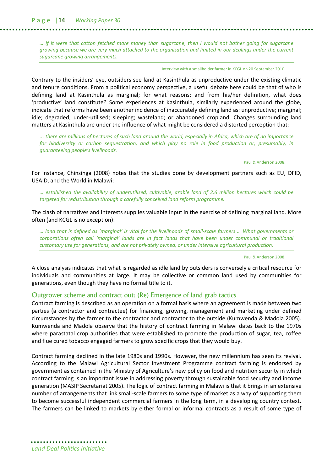P a g e |**14** *Working Paper 30*

*… If it were that cotton fetched more money than sugarcane, then I would not bother going for sugarcane growing because we are very much attached to the organisation and limited in our dealings under the current sugarcane growing arrangements.*

Interview with a smallholder farmer in KCGL on 20 September 2010.

Contrary to the insiders' eye, outsiders see land at Kasinthula as unproductive under the existing climatic and tenure conditions. From a political economy perspective, a useful debate here could be that of who is defining land at Kasinthula as marginal; for what reasons; and from his/her definition, what does 'productive' land constitute? Some experiences at Kasinthula, similarly experienced around the globe, indicate that reforms have been another incidence of inaccurately defining land as: unproductive; marginal; idle; degraded; under-utilised; sleeping; wasteland; or abandoned cropland. Changes surrounding land matters at Kasinthula are under the influence of what might be considered a distorted perception that:

*... there are millions of hectares of such land around the world, especially in Africa, which are of no importance for biodiversity or carbon sequestration, and which play no role in food production or, presumably, in guaranteeing people's livelihoods.*

Paul & Anderson 2008.

For instance, Chinsinga (2008) notes that the studies done by development partners such as EU, DFID, USAID, and the World in Malawi:

*… established the availability of underutilised, cultivable, arable land of 2.6 million hectares which could be targeted for redistribution through a carefully conceived land reform programme.*

The clash of narratives and interests supplies valuable input in the exercise of defining marginal land. More often (and KCGL is no exception):

*… land that is defined as 'marginal' is vital for the livelihoods of small-scale farmers … What governments or corporations often call 'marginal' lands are in fact lands that have been under communal or traditional customary use for generations, and are not privately owned, or under intensive agricultural production.*

Paul & Anderson 2008.

A close analysis indicates that what is regarded as idle land by outsiders is conversely a critical resource for individuals and communities at large. It may be collective or common land used by communities for generations, even though they have no formal title to it.

#### Outgrower scheme and contract out: (Re) Emergence of land grab tactics

Contract farming is described as an operation on a formal basis where an agreement is made between two parties (a contractor and contractee) for financing, growing, management and marketing under defined circumstances by the farmer to the contractor and contractor to the outside (Kumwenda & Madola 2005). Kumwenda and Madola observe that the history of contract farming in Malawi dates back to the 1970s where parastatal crop authorities that were established to promote the production of sugar, tea, coffee and flue cured tobacco engaged farmers to grow specific crops that they would buy.

Contract farming declined in the late 1980s and 1990s. However, the new millennium has seen its revival. According to the Malawi Agricultural Sector Investment Programme contract farming is endorsed by government as contained in the Ministry of Agriculture's new policy on food and nutrition security in which contract farming is an important issue in addressing poverty through sustainable food security and income generation (MASIP Secretariat 2005). The logic of contract farming in Malawi is that it brings in an extensive number of arrangements that link small-scale farmers to some type of market as a way of supporting them to become successful independent commercial farmers in the long term, in a developing country context. The farmers can be linked to markets by either formal or informal contracts as a result of some type of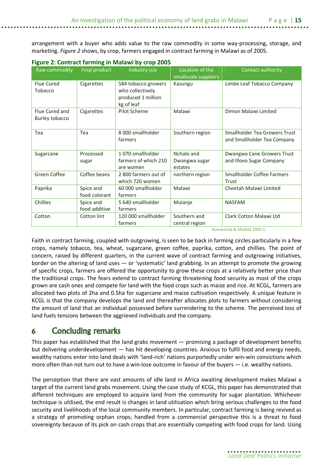arrangement with a buyer who adds value to the raw commodity in some way-processing, storage, and marketing. *Figure 2* shows, by crop, farmers engaged in contract farming in Malawi as of 2005.

| Raw commodity  | Final product | Industry size                    | Location of the      | Contact authority                    |
|----------------|---------------|----------------------------------|----------------------|--------------------------------------|
|                |               |                                  | smallscale suppliers |                                      |
| Flue Cured     | Cigarettes    | 584 tobacco growers              | Kasungu              | Limbe Leaf Tobacco Company           |
| Tobacco        |               | who collectively                 |                      |                                      |
|                |               | produced 1 million<br>kg of leaf |                      |                                      |
| Flue Cured and | Cigarettes    | Pilot Scheme                     | Malawi               | Dimon Malawi Limited                 |
| Burley tobacco |               |                                  |                      |                                      |
|                |               |                                  |                      |                                      |
| Tea            | Tea           | 8 000 smallholder                | Southern region      | <b>Smallholder Tea Growers Trust</b> |
|                |               | farmers                          |                      | and Smallholder Tea Company          |
|                |               |                                  |                      |                                      |
| Sugarcane      | Processed     | 1070 smallholder                 | Nchalo and           | Dwangwa Cane Growers Trust           |
|                | sugar         | farmers of which 210             | Dwangwa sugar        | and Illovo Sugar Company             |
|                |               | are women                        | estates              |                                      |
| Green Coffee   | Coffee beans  | 2800 farmers out of              | northern region      | <b>Smallholder Coffee Farmers</b>    |
|                |               | which 720 women                  |                      | Trust                                |
| Paprika        | Spice and     | 60 000 smallholder               | Malawi               | Cheetah Malawi Limited               |
|                | food colorant | farmers                          |                      |                                      |
| Chillies       | Spice and     | 5 640 smallholder                | Mulanje              | <b>NASFAM</b>                        |
|                | food additive | farmers                          |                      |                                      |
| Cotton         | Cotton lint   | 120 000 smallholder              | Southern and         | Clark Cotton Malawi Ltd              |
|                |               | farmers                          | central region       |                                      |

### **Figure 2: Contract farming in Malawi by crop 2005**

Kumwenda & Madola 2005:5.

Faith in contract farming, coupled with outgrowing, is seen to be back in farming circles particularly in a few crops, namely tobacco, tea, wheat, sugarcane, green coffee, paprika, cotton, and chillies. The point of concern, raised by different quarters, in the current wave of contract farming and outgrowing initiatives, border on the altering of land uses — or 'systematic' land grabbing. In an attempt to promote the growing of specific crops, farmers are offered the opportunity to grow these crops at a relatively better price than the traditional crops. The fears extend to contract farming threatening food security as most of the crops grown are cash ones and compete for land with the food crops such as maize and rice. At KCGL, farmers are allocated two plots of 2ha and 0.5ha for sugarcane and maize cultivation respectively. A unique feature in KCGL is that the company develops the land and thereafter allocates plots to farmers without considering the amount of land that an individual possessed before surrendering to the scheme. The perceived loss of land fuels tensions between the aggrieved individuals and the company.

# **6 Concluding remarks**

This paper has established that the land grabs movement — promising a package of development benefits but delivering underdevelopment — has hit developing countries. Anxious to fulfil food and energy needs, wealthy nations enter into land deals with 'land-rich' nations purportedly under win-win convictions which more often than not turn out to have a win-lose outcome in favour of the buyers — i.e. wealthy nations.

The perception that there are vast amounts of idle land in Africa awaiting development makes Malawi a target of the current land grabs movement. Using the case study of KCGL, this paper has demonstrated that different techniques are employed to acquire land from the community for sugar plantation. Whichever technique is utilised, the end result is changes in land utilisation which bring serious challenges to the food security and livelihoods of the local community members. In particular, contract farming is being revived as a strategy of promoting orphan crops; handled from a commercial perspective this is a threat to food sovereignty because of its pick on cash crops that are essentially competing with food crops for land. Using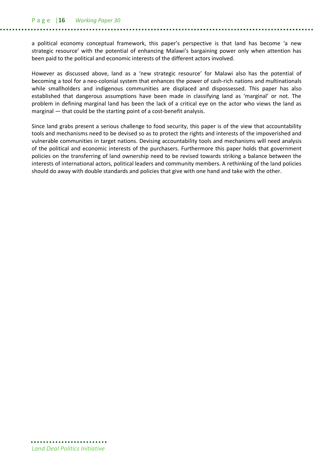#### P a g e |**16** *Working Paper 30*

a political economy conceptual framework, this paper's perspective is that land has become 'a new strategic resource' with the potential of enhancing Malawi's bargaining power only when attention has been paid to the political and economic interests of the different actors involved.

However as discussed above, land as a 'new strategic resource' for Malawi also has the potential of becoming a tool for a neo-colonial system that enhances the power of cash-rich nations and multinationals while smallholders and indigenous communities are displaced and dispossessed. This paper has also established that dangerous assumptions have been made in classifying land as 'marginal' or not. The problem in defining marginal land has been the lack of a critical eye on the actor who views the land as marginal — that could be the starting point of a cost-benefit analysis.

Since land grabs present a serious challenge to food security, this paper is of the view that accountability tools and mechanisms need to be devised so as to protect the rights and interests of the impoverished and vulnerable communities in target nations. Devising accountability tools and mechanisms will need analysis of the political and economic interests of the purchasers. Furthermore this paper holds that government policies on the transferring of land ownership need to be revised towards striking a balance between the interests of international actors, political leaders and community members. A rethinking of the land policies should do away with double standards and policies that give with one hand and take with the other.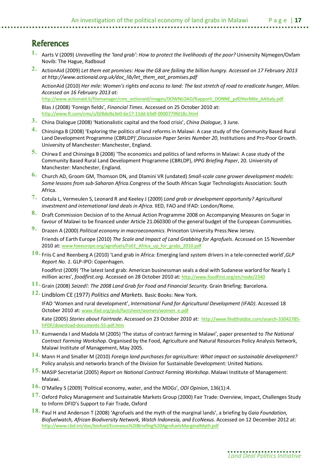# **References**

- **1.** Aarts V (2009) *Unravelling the 'land grab': How to protect the livelihoods of the poor?* University Nijmegen/Oxfam Novib: The Hague, Radboud
- **2.** ActionAid (2009) *Let them eat promises: How the G8 are failing the billion hungry. Accessed on 17 February 2013 at http://www.actionaid.org.uk/doc\_lib/let\_them\_eat\_promises.pdf*

ActionAid (2010) *Her mile: Women's rights and access to land: The last stretch of road to eradicate hunger, Milan. Accessed on 16 February 2013 at:* 

http://www.actionaid.it/filemanager/cms\_actionaid/images/DOWNLOAD/Rapporti\_DONNE\_pdf/HerMile\_AAItaly.pdf Blas J (2008) 'Foreign fields', *Financial Times*. Accessed on 25 October 2010 at:

http://www.ft.com/cms/s/0/8de8a3e0-6e17-11dd-b5df-0000779fd18c.html

- **3.** China Dialogue (2008) 'Nationalistic capital and the food crisis', *China Dialogue*, 3 June.
- **4.** Chinsinga B (2008) 'Exploring the politics of land reforms in Malawi: A case study of the Community Based Rural Land Development Programme (CBRLDP)',*Discussion Paper Series Number 20*, Institutions and Pro-Poor Growth. University of Manchester: Manchester, England.
- **5.** Chirwa E and Chinsinga B (2008) 'The economics and politics of land reforms in Malawi: A case study of the Community Based Rural Land Development Programme (CBRLDP), *IPPG Briefing Paper*, 20. University of Manchester: Manchester, England.
- **6.** Church AD, Groom GM, Thomson DN, and Dlamini VR (undated) *Small-scale cane grower development models: Some lessons from sub-Saharan Africa*.Congress of the South African Sugar Technologists Association: South Africa.
- **7.** Cotula L, Vermeulen S, Leonard R and Keeley J (2009) *Land grab or development opportunity? Agricultural investment and international land deals in Africa.* IIED, FAO and IFAD: London/Rome.
- **8.** Draft Commission Decision of to the Annual Action Programme 2008 on Accompanying Measures on Sugar in favour of Malawi to be financed under Article 21.060300 of the general budget of the European Communities.
- **9.** Drazen A (2000) *Political economy in macroeconomics*. Princeton University Press:New Jersey. Friends of Earth Europe (2010) *The Scale and Impact of Land Grabbing for Agrofuels*. Accessed on 15 November 2010 at: www.foeeurope.org/agrofuels/FoEE\_Africa\_up\_for\_grabs\_2010.pdf
- **10.** Friis C and Reenberg A (2010) 'Land grab in Africa: Emerging land system drivers in a tele-connected world',*GLP Report No. 1*. GLP-IPO: Copenhagen.

Foodfirst (2009) 'The latest land grab: American businessman seals a deal with Sudanese warlord for Nearly 1 million acres', *foodfirst.org*. Accessed on 28 October 2010 at: http://www.foodfirst.org/en/node/2340

- **11.** Grain (2008) *Seized!: The 2008 Land Grab for Food and Financial Security*. Grain Briefing: Barcelona.
- **12.** Lindblom CE (1977) *Politics and Markets.* Basic Books: New York.

IFAD 'Women and rural development', *International Fund for Agricultural Development (IFAD)*. Accessed 18 October 2010 at: www.ifad.org/pub/factsheet/women/women\_e.pdf

Kate (2005) *Stories about Fairtrade*. Accessed on 23 October 2010 at: http://www.findthatdoc.com/search-33042785 hPDF/download-documents-55-pdf.htm

- **13.** Kumwenda I and Madola M (2005) 'The status of contract farming in Malawi', paper presented to *The National Contract Farming Workshop.* Organised by the Food, Agriculture and Natural Resources Policy Analysis Network, Malawi Institute of Management, May 2005.
- **14.** Mann H and Smaller M (2010) *Foreign land purchases for agriculture: What impact on sustainable development?* Policy analysis and networks branch of the Division for Sustainable Development: United Nations.
- **15.** MASIP Secretariat (2005) *Report on National Contract Farming Workshop*. Malawi Institute of Management: Malawi.
- **16.** O'Malley S (2009) 'Political economy, water, and the MDGs', *ODI Opinion*, 136(1):4.
- **17.** Oxford Policy Management and Sustainable Markets Group (2000) Fair Trade: Overview, Impact, Challenges Study to Inform DFID's Support to Fair Trade, Oxford
- **18.** Paul H and Anderson T (2008) 'Agrofuels and the myth of the marginal lands', a briefing by *Gaia Foundation, Biofuelwatch, African Biodiversity Network, Watch Indonesia, and EcoNexus*. Accessed on 12 December 2012 at: http://www.cbd.int/doc/biofuel/Econexus%20Briefing%20AgrofuelsMarginalMyth.pdf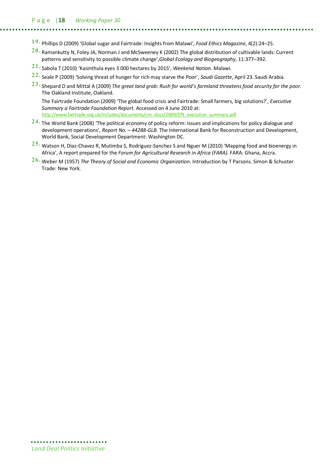- **19.** Phillips D (2009) 'Global sugar and Fairtrade: Insights from Malawi', *Food Ethics Magazine*, 4(2):24–25.
- **20.** Ramankutty N, Foley JA, Norman J and McSweeney K (2002) The global distribution of cultivable lands: Current patterns and sensitivity to possible climate change',*Global Ecology and Biogeography*, 11:377–392.
- **21.** Sabola T (2010) 'Kasinthula eyes 3 000 hectares by 2015', *Weekend Nation.* Malawi.
- **22.** Seale P (2009) 'Solving threat of hunger for rich may starve the Poor', *Saudi Gazette*, April 23. Saudi Arabia.
- **23.** Shepard D and Mittal A (2009) *The great land grab: Rush for world's farmland threatens food security for the poor*. The Oakland Institute, Oakland.

The Fairtrade Foundation (2009) 'The global food crisis and Fairtrade: Small farmers, big solutions?', *Executive Summary a Fairtrade Foundation Report*. Accessed on 4 June 2010 at: http://www.fairtrade.org.uk/includes/documents/cm\_docs/2009/f/ft\_executive\_summary.pdf

- **24.** The World Bank (2008) 'The political economy of policy reform: Issues and implications for policy dialogue and development operations', *Report No. – 44288-GLB*. The International Bank for Reconstruction and Development, World Bank, Social Development Department: Washington DC.
- **25.** Watson H, Diaz-Chavez R, Mutimba S, Rodriguez-Sanchez S and Nguer M (2010) 'Mapping food and bioenergy in Africa', A report prepared for the *Forum for Agricultural Research in Africa (FARA)*. FARA: Ghana, Accra.
- **26.** Weber M (1957) *The Theory of Social and Economic Organization*. Introduction by T Parsons. Simon & Schuster Trade: New York.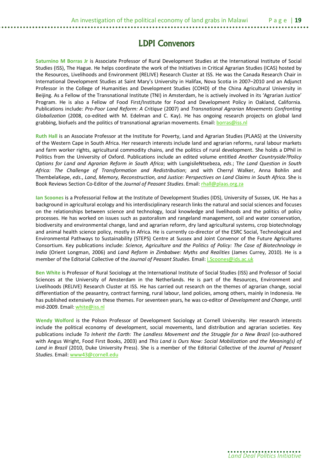**Saturnino M Borras Jr** is Associate Professor of Rural Development Studies at the International Institute of Social Studies (ISS), The Hague. He helps coordinate the work of the Initiatives in Critical Agrarian Studies (ICAS) hosted by the Resources, Livelihoods and Environment (RELIVE) Research Cluster at ISS. He was the Canada Research Chair in International Development Studies at Saint Mary's University in Halifax, Nova Scotia in 2007–2010 and an Adjunct Professor in the College of Humanities and Development Studies (COHD) of the China Agricultural University in Beijing. As a Fellow of the Transnational Institute (TNI) in Amsterdam, he is actively involved in its 'Agrarian Justice' Program. He is also a Fellow of Food First/Institute for Food and Development Policy in Oakland, California. Publications include: *Pro-Poor Land Reform: A Critique* (2007) and *Transnational Agrarian Movements Confronting Globalization* (2008, co-edited with M. Edelman and C. Kay). He has ongoing research projects on global land grabbing, biofuels and the politics of transnational agrarian movements. Email: **borras@iss.nl** 

**Ruth Hall** is an Associate Professor at the Institute for Poverty, Land and Agrarian Studies (PLAAS) at the University of the Western Cape in South Africa. Her research interests include land and agrarian reforms, rural labour markets and farm worker rights, agricultural commodity chains, and the politics of rural development. She holds a DPhil in Politics from the University of Oxford. Publications include an edited volume entitled *Another Countryside?Policy Options for Land and Agrarian Reform in South Africa*; with LungisileNtsebeza, *eds*.; T*he Land Question in South Africa: The Challenge of Transformation and Redistribution*; and with Cherryl Walker, Anna Bohlin and ThembelaKepe, *eds*., *Land, Memory, Reconstruction, and Justice: Perspectives on Land Claims in South Africa*. She is Book Reviews Section Co-Editor of the *Journal of Peasant Studies*. Email: rhall@plaas.org.za

**Ian Scoones** is a Professorial Fellow at the Institute of Development Studies (IDS), University of Sussex, UK. He has a background in agricultural ecology and his interdisciplinary research links the natural and social sciences and focuses on the relationships between science and technology, local knowledge and livelihoods and the politics of policy processes. He has worked on issues such as pastoralism and rangeland management, soil and water conservation, biodiversity and environmental change, land and agrarian reform, dry land agricultural systems, crop biotechnology and animal health science policy, mostly in Africa. He is currently co-director of the ESRC Social, Technological and Environmental Pathways to Sustainability (STEPS) Centre at Sussex and Joint Convenor of the Future Agricultures Consortium. Key publications include: *Science, Agriculture and the Politics of Policy: The Case of Biotechnology in India* (Orient Longman, 2006) and *Land Reform in Zimbabwe: Myths and Realities* (James Currey, 2010). He is a member of the Editorial Collective of the *Journal of Peasant Studies*. Email: I.Scoones@ids.ac.uk

**Ben White** is Professor of Rural Sociology at the International Institute of Social Studies (ISS) and Professor of Social Sciences at the University of Amsterdam in the Netherlands. He is part of the Resources, Environment and Livelihoods (RELIVE) Research Cluster at ISS. He has carried out research on the themes of agrarian change, social differentiation of the peasantry, contract farming, rural labour, land policies, among others, mainly in Indonesia. He has published extensively on these themes. For seventeen years, he was co-editor of *Development and Change*, until mid-2009. Email: white@iss.nl

**Wendy Wolford** is the Polson Professor of Development Sociology at Cornell University. Her research interests include the political economy of development, social movements, land distribution and agrarian societies. Key publications include *To Inherit the Earth: The Landless Movement and the Struggle for a New Brazil* (co-authored with Angus Wright, Food First Books, 2003) and *This Land is Ours Now: Social Mobilization and the Meaning(s) of Land in Brazil* (2010, Duke University Press). She is a member of the Editorial Collective of the *Journal of Peasant Studies*. Email: www43@cornell.edu